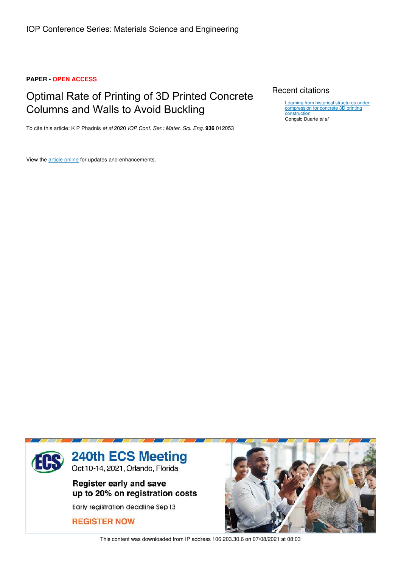### **PAPER • OPEN ACCESS**

# Optimal Rate of Printing of 3D Printed Concrete Columns and Walls to Avoid Buckling

To cite this article: K P Phadnis *et al* 2020 *IOP Conf. Ser.: Mater. Sci. Eng.* **936** 012053

View the article online for updates and enhancements.

## Recent citations

Learning from historical structures under compression for concrete 3D printing construction Gonçalo Duarte *et al* -



This content was downloaded from IP address 106.203.30.6 on 07/08/2021 at 08:03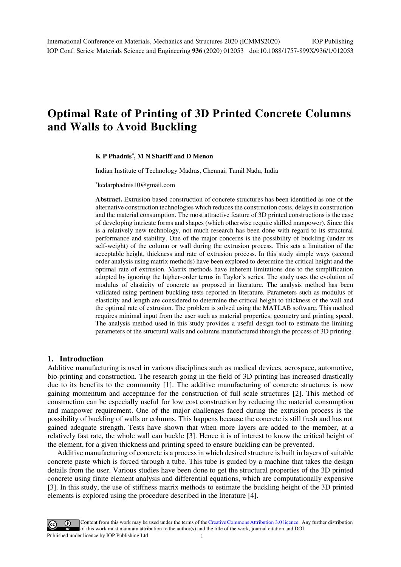# **Optimal Rate of Printing of 3D Printed Concrete Columns and Walls to Avoid Buckling**

### **K P Phadnis***\** **, M N Shariff and D Menon**

Indian Institute of Technology Madras, Chennai, Tamil Nadu, India

\*[kedarphadnis10@gmail.com](mailto:kedarphadnis10@gmail.com) 

**Abstract.** Extrusion based construction of concrete structures has been identified as one of the alternative construction technologies which reduces the construction costs, delays in construction and the material consumption. The most attractive feature of 3D printed constructions is the ease of developing intricate forms and shapes (which otherwise require skilled manpower). Since this is a relatively new technology, not much research has been done with regard to its structural performance and stability. One of the major concerns is the possibility of buckling (under its self-weight) of the column or wall during the extrusion process. This sets a limitation of the acceptable height, thickness and rate of extrusion process. In this study simple ways (second order analysis using matrix methods) have been explored to determine the critical height and the optimal rate of extrusion. Matrix methods have inherent limitations due to the simplification adopted by ignoring the higher-order terms in Taylor's series. The study uses the evolution of modulus of elasticity of concrete as proposed in literature. The analysis method has been validated using pertinent buckling tests reported in literature. Parameters such as modulus of elasticity and length are considered to determine the critical height to thickness of the wall and the optimal rate of extrusion. The problem is solved using the MATLAB software. This method requires minimal input from the user such as material properties, geometry and printing speed. The analysis method used in this study provides a useful design tool to estimate the limiting parameters of the structural walls and columns manufactured through the process of 3D printing.

#### **1. Introduction**

Additive manufacturing is used in various disciplines such as medical devices, aerospace, automotive, bio-printing and construction. The research going in the field of 3D printing has increased drastically due to its benefits to the community [1]. The additive manufacturing of concrete structures is now gaining momentum and acceptance for the construction of full scale structures [2]. This method of construction can be especially useful for low cost construction by reducing the material consumption and manpower requirement. One of the major challenges faced during the extrusion process is the possibility of buckling of walls or columns. This happens because the concrete is still fresh and has not gained adequate strength. Tests have shown that when more layers are added to the member, at a relatively fast rate, the whole wall can buckle [3]. Hence it is of interest to know the critical height of the element, for a given thickness and printing speed to ensure buckling can be prevented.

Additive manufacturing of concrete is a process in which desired structure is built in layers of suitable concrete paste which is forced through a tube. This tube is guided by a machine that takes the design details from the user. Various studies have been done to get the structural properties of the 3D printed concrete using finite element analysis and differential equations, which are computationally expensive [3]. In this study, the use of stiffness matrix methods to estimate the buckling height of the 3D printed elements is explored using the procedure described in the literature [4].

Content from this work may be used under the terms of theCreative Commons Attribution 3.0 licence. Any further distribution of this work must maintain attribution to the author(s) and the title of the work, journal citation and DOI. Published under licence by IOP Publishing Ltd 1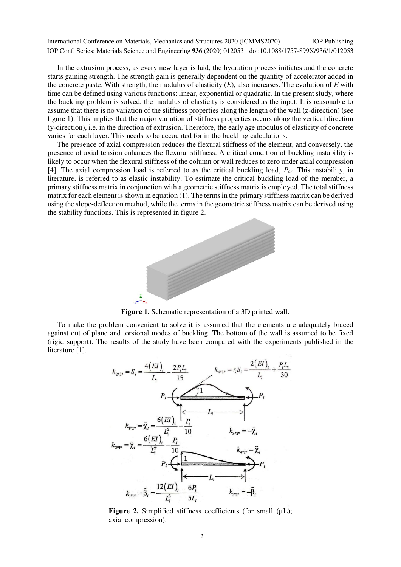International Conference on Materials, Mechanics and Structures 2020 (ICMMS2020) IOP Conf. Series: Materials Science and Engineering **936** (2020) 012053 doi:10.1088/1757-899X/936/1/012053 IOP Publishing

In the extrusion process, as every new layer is laid, the hydration process initiates and the concrete starts gaining strength. The strength gain is generally dependent on the quantity of accelerator added in the concrete paste. With strength, the modulus of elasticity (*E*), also increases. The evolution of *E* with time can be defined using various functions: linear, exponential or quadratic. In the present study, where the buckling problem is solved, the modulus of elasticity is considered as the input. It is reasonable to assume that there is no variation of the stiffness properties along the length of the wall (z-direction) (see figure 1). This implies that the major variation of stiffness properties occurs along the vertical direction (y-direction), i.e. in the direction of extrusion. Therefore, the early age modulus of elasticity of concrete varies for each layer. This needs to be accounted for in the buckling calculations.

The presence of axial compression reduces the flexural stiffness of the element, and conversely, the presence of axial tension enhances the flexural stiffness. A critical condition of buckling instability is likely to occur when the flexural stiffness of the column or wall reduces to zero under axial compression [4]. The axial compression load is referred to as the critical buckling load, *Pcr*. This instability, in literature, is referred to as elastic instability. To estimate the critical buckling load of the member, a primary stiffness matrix in conjunction with a geometric stiffness matrix is employed. The total stiffness matrix for each element is shown in equation (1). The terms in the primary stiffness matrix can be derived using the slope-deflection method, while the terms in the geometric stiffness matrix can be derived using the stability functions. This is represented in figure 2.



**Figure 1.** Schematic representation of a 3D printed wall.

To make the problem convenient to solve it is assumed that the elements are adequately braced against out of plane and torsional modes of buckling. The bottom of the wall is assumed to be fixed (rigid support). The results of the study have been compared with the experiments published in the literature [1].

$$
k_{2^{*2^{*}}} = S_{i} = \frac{4(EI)_{i}}{L_{i}} - \frac{2P_{i}L_{i}}{15}
$$
\n
$$
k_{4^{*2^{*}}} = r_{i}S_{i} = \frac{2(EI)_{i}}{L_{i}} + \frac{P_{i}L_{i}}{30}
$$
\n
$$
P_{i}
$$
\n
$$
k_{1^{*2^{*}}} = \tilde{\chi}_{i} = \frac{6(EI)_{i}}{L_{i}^{2}} - \frac{P_{i}}{10}
$$
\n
$$
k_{3^{*2^{*}}} = -\tilde{\chi}_{i}
$$
\n
$$
k_{2^{*1^{*}}} = \tilde{\chi}_{i} = \frac{6(EI)_{i}}{L_{i}^{2}} - \frac{P_{i}}{10}
$$
\n
$$
k_{4^{*1^{*}}} = \tilde{\chi}_{i}
$$
\n
$$
P_{i}
$$
\n
$$
k_{4^{*1^{*}}} = \tilde{\chi}_{i}
$$
\n
$$
k_{5^{*2^{*}}} = -\tilde{\chi}_{i}
$$
\n
$$
k_{5^{*2^{*}}} = -\tilde{\beta}_{i}
$$
\n
$$
k_{5^{*2^{*}}} = -\tilde{\beta}_{i}
$$

Figure 2. Simplified stiffness coefficients (for small  $(\mu L)$ ; axial compression).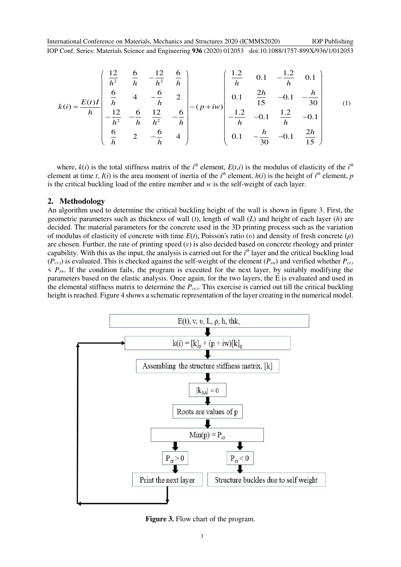International Conference on Materials, Mechanics and Structures 2020 (ICMMS2020) IOP Conf. Series: Materials Science and Engineering **936** (2020) 012053 doi:10.1088/1757-899X/936/1/012053 IOP Publishing

$$
k(i) = \frac{E(t)I}{h} \begin{bmatrix} \frac{12}{h^2} & \frac{6}{h} & -\frac{12}{h^2} & \frac{6}{h} \\ \frac{6}{h} & 4 & -\frac{6}{h} & 2 \\ -\frac{12}{h^2} & -\frac{6}{h} & \frac{12}{h^2} & -\frac{6}{h} \\ \frac{6}{h} & 2 & -\frac{6}{h} & 4 \end{bmatrix} - (p + iw) \begin{bmatrix} \frac{1.2}{h} & 0.1 & -\frac{1.2}{h} & 0.1 \\ 0.1 & \frac{2h}{15} & -0.1 & -\frac{h}{30} \\ -\frac{1.2}{h} & -0.1 & \frac{1.2}{h} & -0.1 \\ 0.1 & -\frac{h}{30} & -0.1 & \frac{2h}{15} \end{bmatrix} \tag{1}
$$

where,  $k(i)$  is the total stiffness matrix of the  $i^{th}$  element,  $E(t,i)$  is the modulus of elasticity of the  $i^{th}$ element at time *t*,  $I(i)$  is the area moment of inertia of the *i*<sup>th</sup> element,  $h(i)$  is the height of *i*<sup>th</sup> element, *p* is the critical buckling load of the entire member and *w* is the self-weight of each layer.

#### **2. Methodology**

An algorithm used to determine the critical buckling height of the wall is shown in figure 3. First, the geometric parameters such as thickness of wall (*t*), length of wall (*L*) and height of each layer (*h*) are decided. The material parameters for the concrete used in the 3D printing process such as the variation of modulus of elasticity of concrete with time *E*(*t*), Poisson's ratio (*υ*) and density of fresh concrete (*ρ*) are chosen. Further, the rate of printing speed (*ν*) is also decided based on concrete rheology and printer capability. With this as the input, the analysis is carried out for the *i th* layer and the critical buckling load  $(P_{cr,i})$  is evaluated. This is checked against the self-weight of the element  $(P_{sw})$  and verified whether  $P_{cr,i}$  $\leq P_{sw}$ . If the condition fails, the program is executed for the next layer, by suitably modifying the parameters based on the elastic analysis. Once again, for the two layers, the E is evaluated and used in the elemental stiffness matrix to determine the  $P_{cri}$ . This exercise is carried out till the critical buckling height is reached. Figure 4 shows a schematic representation of the layer creating in the numerical model.



**Figure 3.** Flow chart of the program.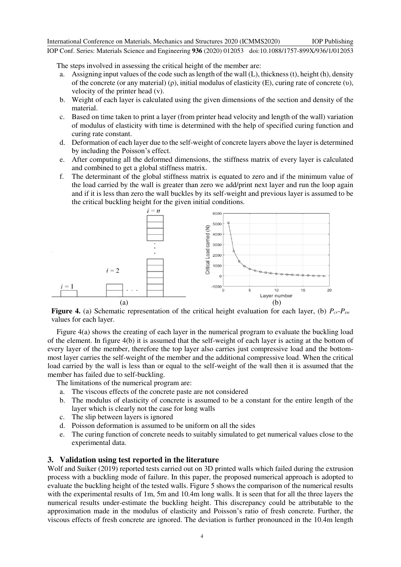The steps involved in assessing the critical height of the member are:

- a. Assigning input values of the code such as length of the wall (L), thickness (t), height (h), density of the concrete (or any material) (ρ), initial modulus of elasticity (E), curing rate of concrete (υ), velocity of the printer head (v).
- b. Weight of each layer is calculated using the given dimensions of the section and density of the material.
- c. Based on time taken to print a layer (from printer head velocity and length of the wall) variation of modulus of elasticity with time is determined with the help of specified curing function and curing rate constant.
- d. Deformation of each layer due to the self-weight of concrete layers above the layer is determined by including the Poisson's effect.
- e. After computing all the deformed dimensions, the stiffness matrix of every layer is calculated and combined to get a global stiffness matrix.
- f. The determinant of the global stiffness matrix is equated to zero and if the minimum value of the load carried by the wall is greater than zero we add/print next layer and run the loop again and if it is less than zero the wall buckles by its self-weight and previous layer is assumed to be the critical buckling height for the given initial conditions.



**Figure 4.** (a) Schematic representation of the critical height evaluation for each layer, (b) *Pcr-Psw* values for each layer.

Figure 4(a) shows the creating of each layer in the numerical program to evaluate the buckling load of the element. In figure 4(b) it is assumed that the self-weight of each layer is acting at the bottom of every layer of the member, therefore the top layer also carries just compressive load and the bottommost layer carries the self-weight of the member and the additional compressive load. When the critical load carried by the wall is less than or equal to the self-weight of the wall then it is assumed that the member has failed due to self-buckling.

The limitations of the numerical program are:

- a. The viscous effects of the concrete paste are not considered
- b. The modulus of elasticity of concrete is assumed to be a constant for the entire length of the layer which is clearly not the case for long walls
- c. The slip between layers is ignored
- d. Poisson deformation is assumed to be uniform on all the sides
- e. The curing function of concrete needs to suitably simulated to get numerical values close to the experimental data.

# **3. Validation using test reported in the literature**

Wolf and Suiker (2019) reported tests carried out on 3D printed walls which failed during the extrusion process with a buckling mode of failure. In this paper, the proposed numerical approach is adopted to evaluate the buckling height of the tested walls. Figure 5 shows the comparison of the numerical results with the experimental results of 1m, 5m and 10.4m long walls. It is seen that for all the three layers the numerical results under-estimate the buckling height. This discrepancy could be attributable to the approximation made in the modulus of elasticity and Poisson's ratio of fresh concrete. Further, the viscous effects of fresh concrete are ignored. The deviation is further pronounced in the 10.4m length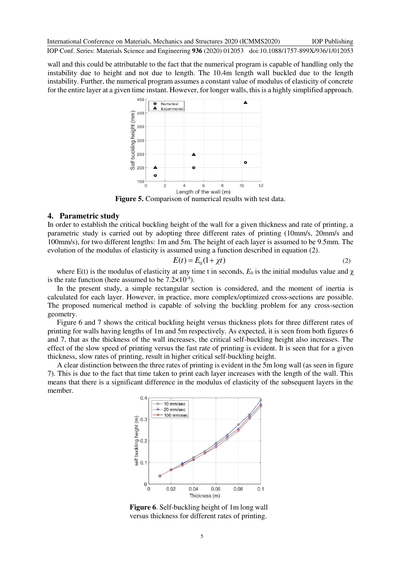wall and this could be attributable to the fact that the numerical program is capable of handling only the instability due to height and not due to length. The 10.4m length wall buckled due to the length instability. Further, the numerical program assumes a constant value of modulus of elasticity of concrete for the entire layer at a given time instant. However, for longer walls, this is a highly simplified approach.



**Figure 5.** Comparison of numerical results with test data.

#### **4. Parametric study**

In order to establish the critical buckling height of the wall for a given thickness and rate of printing, a parametric study is carried out by adopting three different rates of printing (10mm/s, 20mm/s and 100mm/s), for two different lengths: 1m and 5m. The height of each layer is assumed to be 9.5mm. The evolution of the modulus of elasticity is assumed using a function described in equation (2).

$$
E(t) = E_0(1 + \chi t) \tag{2}
$$

where E(t) is the modulus of elasticity at any time t in seconds,  $E_0$  is the initial modulus value and  $\gamma$ is the rate function (here assumed to be  $7.2 \times 10^{-4}$ ).

In the present study, a simple rectangular section is considered, and the moment of inertia is calculated for each layer. However, in practice, more complex/optimized cross-sections are possible. The proposed numerical method is capable of solving the buckling problem for any cross-section geometry.

Figure 6 and 7 shows the critical buckling height versus thickness plots for three different rates of printing for walls having lengths of 1m and 5m respectively. As expected, it is seen from both figures 6 and 7, that as the thickness of the wall increases, the critical self-buckling height also increases. The effect of the slow speed of printing versus the fast rate of printing is evident. It is seen that for a given thickness, slow rates of printing, result in higher critical self-buckling height.

A clear distinction between the three rates of printing is evident in the 5m long wall (as seen in figure 7). This is due to the fact that time taken to print each layer increases with the length of the wall. This means that there is a significant difference in the modulus of elasticity of the subsequent layers in the member.



**Figure 6**. Self-buckling height of 1m long wall versus thickness for different rates of printing.